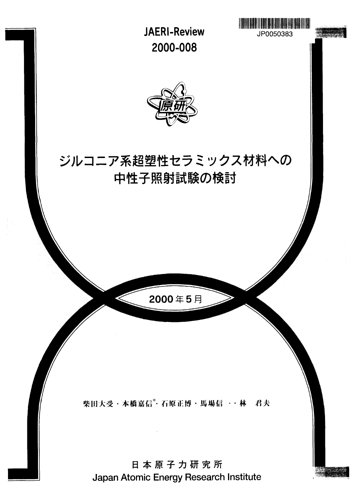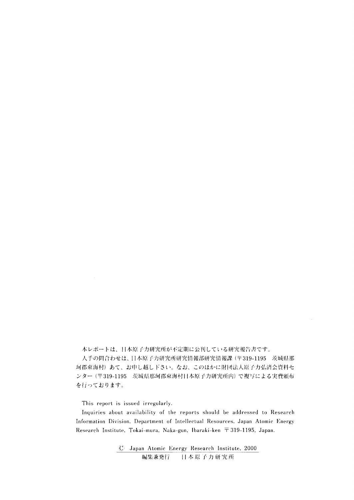本レポートは、日本原子力研究所が不定期に公刊している研究報告書です。

人手の問合わせは、日本原子力研究所研究情報部研究情報課 (〒319-1195 茨城県那 珂郡東海村) あて、お申し越し下さい。なお、このほかに財団法人原子力弘済会資料セ ンター (〒319-1195 茨城県那珂郡東海村日本原子力研究所内) で複写による実費頒布 を行っております。

This report is issued irregularly.

Inquiries about availability of the reports should be addressed to Research Information Division, Department of Intellectual Resources, Japan Atomic Energy Research Institute, Tokai-mura, Naka-gun, Ibaraki-ken  $\bar{r}$  319-1195, Japan.

> ,C Japan Atomic Energy Research Institute, 2000 編集兼発行 **11** *^ m* **r-** *ti m %% m*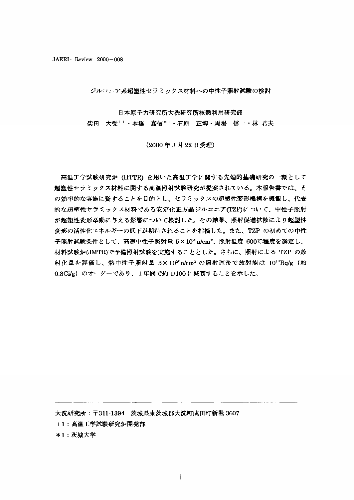$JAERI - Review \quad 2000 - 008$ 

ジルコニア系超塑性セラミックス材料への中性子照射試験の検討

日本原子力研究所大洗研究所核熱利用研究部

柴田 大受+1・本橋 嘉信\*1・石原 正博・馬場 信一・林 君夫

(2000年3月22日受理)

高温工学試験研究炉 (HTTR) を用いた高温工学に関する先端的基礎研究の一環として 超塑性セラミックス材料に関する高温照射試験研究が提案されている。本報告書では、そ の効率的な実施に資することを目的とし、セラミックスの超塑性変形機構を概観し、代表 的な超塑性セラミックス材料である安定化正方晶ジルコニア(TZP)について、中性子照射 が超塑性変形挙動に与える影響について検討した。その結果、照射促進拡散により超塑性 変形の活性化エネルギーの低下が期待されることを指摘した。また、TZP の初めての中性 子照射試験条件として、高速中性子照射量 5×1020n/cm2、照射温度 600℃程度を選定し、 材料試験炉(JMTR)で予備照射試験を実施することとした。さらに、照射による TZP の放 射化量を評価し、熱中性子照射量 3×10<sup>20</sup>n/cm<sup>2</sup> の照射直後で放射能は 10<sup>10</sup>Bq/g (約 0.3Ci/g) のオーダーであり、1年間で約 1/100 に減衰することを示した。

大洗研究所: 〒311-1394 茨城県東茨城郡大洗町成田町新堀 3607

+1: 髙温工学試験研究炉開発部

\*1:茨城大学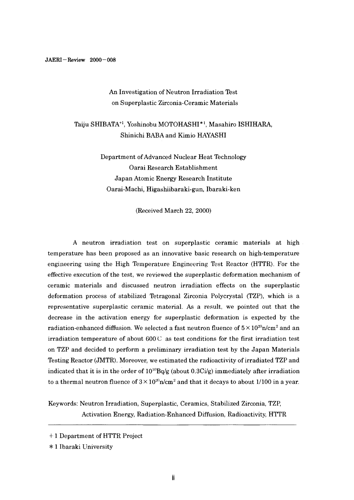# An Investigation of Neutron Irradiation Test on Superplastic Zirconia-Ceramic Materials

# Taiju SHIBATA<sup>+1</sup>, Yoshinobu MOTOHASHI<sup>\*1</sup>, Masahiro ISHIHARA, Shinichi BABA and Kimio HAYASHI

Department of Advanced Nuclear Heat Technology Oarai Research Establishment Japan Atomic Energy Research Institute Oarai-Machi, Higashiibaraki-gun, Ibaraki-ken

(Received March 22, 2000)

A neutron irradiation test on superplastic ceramic materials at high temperature has been proposed as an innovative basic research on high-temperature engineering using the High Temperature Engineering Test Reactor (HTTR). For the effective execution of the test, we reviewed the superplastic deformation mechanism of ceramic materials and discussed neutron irradiation effects on the superplastic deformation process of stabilized Tetragonal Zirconia Polycrystal (TZP), which is a representative superplastic ceramic material. As a result, we pointed out that the decrease in the activation energy for superplastic deformation is expected by the radiation-enhanced diffusion. We selected a fast neutron fluence of  $5\times10^{20}$ n/cm $^2$  and an irradiation temperature of about  $600^\circ$  as test conditions for the first irradiation test on TZP and decided to perform a preliminary irradiation test by the Japan Materials Testing Reactor (JMTR). Moreover, we estimated the radioactivity of irradiated TZP and indicated that it is in the order of  $10^{10}$ Bq/g (about 0.3Ci/g) immediately after irradiation to a thermal neutron fluence of  $3\times10^{20}$ n/cm $^2$  and that it decays to about 1/100 in a year.

Keywords: Neutron Irradiation, Superplastic, Ceramics, Stabilized Zirconia, TZP, Activation Energy, Radiation-Enhanced Diffusion, Radioactivity, HTTR

<sup>+ 1</sup> Department of HTTR Project

<sup>\* 1</sup> Ibaraki University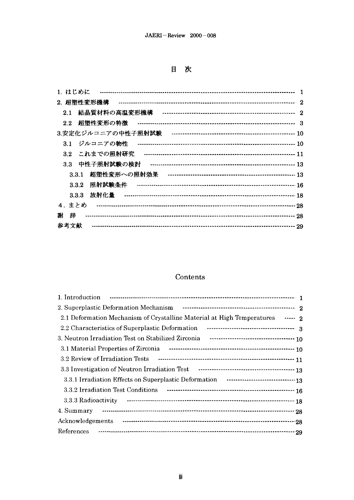目次

| 1. はじめに                       |                         |
|-------------------------------|-------------------------|
| 2. 超塑性変形機構                    | $\mathbf{2}$            |
| 2.1                           | $\overline{\mathbf{2}}$ |
| 2.2                           |                         |
|                               |                         |
| ジルコニアの物性<br>3.1               |                         |
| これまでの照射研究<br>3.2 <sub>1</sub> |                         |
| 中性子照射試験の検討<br>3.3             |                         |
| 3.3.1                         |                         |
| 3.3.2                         |                         |
| 放射化量<br>3.3.3                 |                         |
| 4. まとめ                        |                         |
| 謝<br>辞                        |                         |
| 参考文献                          |                         |

# Contents

| 2.1 Deformation Mechanism of Crystalline Material at High Temperatures ----- 2   |
|----------------------------------------------------------------------------------|
|                                                                                  |
| 3. Neutron Irradiation Test on Stabilized Zirconia Factor Contract Controller 10 |
|                                                                                  |
|                                                                                  |
|                                                                                  |
|                                                                                  |
|                                                                                  |
|                                                                                  |
| 4. Summary                                                                       |
|                                                                                  |
| References<br>- 29                                                               |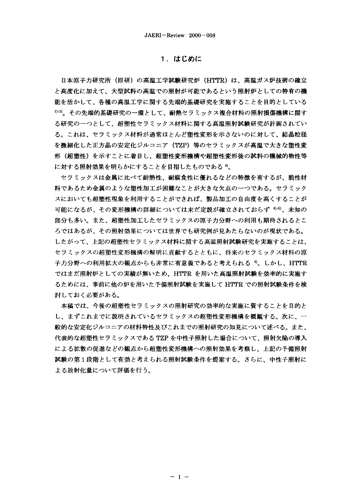# 1. はじめに

日本原子力研究所(原研)の高温工学試験研究炉(HTTR)は、高温ガス炉技術の確立 と高度化に加えて、大型試料の高温での照射が可能であるという照射炉としての特有の機 能を活かして、各種の髙温工学に関する先端的基礎研究を実施することを目的としている <sup>小3)</sup>。その先端的基礎研究の一環として、耐熱セラミックス複合材料の照射損傷機構に関す る研究の一つとして、超塑性セラミックス材料に関する高温照射試験研究が計画されてい る。これは、セラミックス材料が通常ほとんど塑性変形を示さないのに対して、結晶粒径 を微細化した正方晶の安定化ジルコニア(TZP)等のセラミックスが高温で大きな塑性変 形(超塑性)を示すことに着目し、超塑性変形機構や超塑性変形後の試料の機械的物性等 に対する照射効果を明らかにすることを目指したものであるり。

セラミックスは金属に比べて耐熱性、耐腐食性に優れるなどの特徴を有するが、脆性材 料であるため金属のような塑性加工が困難なことが大きな欠点の一つである。セラミック スにおいても超塑性現象を利用することができれば、製品加工の自由度を高くすることが 可能になるが、その変形機構の詳細については未だ定説が確立されておらず <sup>4-6)</sup>、未知の 部分も多い。また、超塑性加工したセラミックスの原子力分野への利用も期待されるとこ ろではあるが、その照射効果については世界でも研究例が見あたらないのが現状である。 したがって、上記の超塑性セラミックス材料に関する高温照射試験研究を実施することは、 セラミックスの超塑性変形機構の解明に貢献するとともに、将来のセラミックス材料の原 子力分野への利用拡大の観点からも非常に有意義であると考えられる<sup>4</sup>。しかし、HTTR ではまだ照射炉としての実績が無いため、HTTR を用いた高温照射試験を効率的に実施す るためには、事前に他の炉を用いた予備照射試験を実施して HTTR での照射試験条件を検 討しておく必要がある。

本稿では、今後の超塑性セラミックスの照射研究の効率的な実施に資することを目的と し、まずこれまでに説明されているセラミックスの超塑性変形機構を概観する。次に、一 般的な安定化ジルコニアの材料特性及びこれまでの照射研究の知見について述べる。また、 代表的な超塑性セラミックスである TZP を中性子照射した場合について、照射欠陥の導入 による拡散の促進などの観点から超塑性変形機構への照射効果を考察し、上記の予備照射 試験の第1段階として有効と考えられる照射試験条件を提案する。さらに、中性子照射に よる放射化量について評価を行う。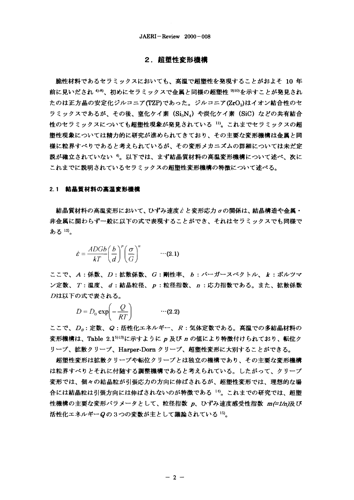# 2. 超塑性変形機構

脆性材料であるセラミックスにおいても、高温で超塑性を発現することがおよそ 10 年 前に見いだされ <sup>458</sup>、初めにセラミックスで金属と同様の超塑性 <sup>910)</sup>を示すことが発見され たのは正方晶の安定化ジルコニア(TZP)であった。ジルコニア(ZrO<sub>2</sub>)はイオン結合性のセ ラミックスであるが、その後、窒化ケイ素 (Si<sub>3</sub>NA) や炭化ケイ素 (SiC) などの共有結合 性のセラミックスについても超塑性現象が発見されている <sup>11)</sup>。これまでセラミックスの超 塑性現象については精力的に研究が進められてきており、その主要な変形機構は金属と同 様に粒界すべりであると考えられているが、その変形メカニズムの詳細については未だ定 説が確立されていない 4。以下では、まず結晶質材料の高温変形機構について述べ、次に これまでに説明されているセラミックスの超塑性変形機構の特徴について述べる。

## 2.1 結晶質材料の高温変形機構

結晶質材料の高温変形において、ひずみ速度cと変形応力 oの関係は、結晶構造や金属・ 非金属に関わらず一般に以下の式で表現することができ、それはセラミックスでも同様で ある12)。

$$
\dot{\varepsilon} = \frac{ADGb}{kT} \left(\frac{b}{d}\right)^p \left(\frac{\sigma}{G}\right)^n \qquad \cdots (2.1)
$$

ここで、A:係数、D:拡散係数、G:剛性率、b:バーガースベクトル、k:ボルツマ ン定数、T:温度、d:結晶粒径、p:粒径指数、n:応力指数である。また、拡散係数 Dは以下の式で表される。

$$
D = D_0 \exp\left(-\frac{Q}{RT}\right) \qquad \qquad \cdots (2.2)
$$

ここで、 $D_o$ :定数、Q:活性化エネルギー、R:気体定数である。髙温での多結晶材料の 変形機構は、Table 2.1513)に示すように p 及び n の値により特徴付けられており、転位ク リープ、拡散クリープ、Harper-Dorn クリープ、超塑性変形に大別することができる。

超塑性変形は拡散クリープや転位クリープとは独立の機構であり、その主要な変形機構 は粒界すべりとそれに付随する調整機構であると考えられている。したがって、クリープ 変形では、個々の結晶粒が引張応力の方向に伸ばされるが、超塑性変形では、理想的な場 合には結晶粒は引張方向には伸ばされないのが特徴である「り。これまでの研究では、超塑 性機構の主要な変形パラメータとして、粒径指数 p、ひずみ速度感受性指数 m(=1/n)及び 活性化エネルギーQの3つの変数が主として議論されている<sup>15)</sup>。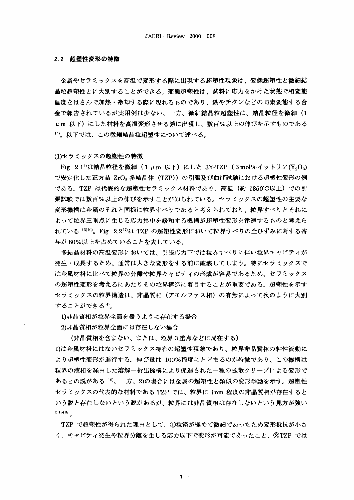### 2.2 招塑性変形の特徴

金属やセラミックスを高温で変形する際に出現する超塑性現象は、変態超塑性と微細結 晶粒超塑性とに大別することができる。変態超塑性は、試料に応力をかけた状態で相変態 温度をはさんで加熱・冷却する際に現れるものであり、鉄やチタンなどの同素変態する合 金で報告されているが実用例は少ない。一方、微細結晶粒超塑性は、結晶粒径を微細 (1 μm 以下)にした材料を高温変形させる際に出現し、数百%以上の伸びを示すものである 14)。以下では、この微細結晶粒超塑性について述べる。

(1)セラミックスの超塑性の特徴

Fig. 2.1<sup>4</sup>は結晶粒径を微細 (1  $\mu$ m 以下) にした 3Y-TZP (3mol%イットリア(Y<sub>2</sub>O<sub>3</sub>) で安定化した正方晶 ZrO。多結晶体 (TZP)) の引張及び曲げ試験における超塑性変形の例 である。TZP は代表的な超塑性セラミックス材料であり、高温(約 1350℃以上)での引 張試験では数百%以上の伸びを示すことが知られている。セラミックスの超塑性の主要な 変形機構は金属のそれと同様に粒界すべりであると考えられており、粒界すべりとそれに よって粒界三重点に生じる応力集中を緩和する機構が超塑性変形を律速するものと考えら れている <sup>1516</sup>)。Fig. 2.2<sup>17</sup>は TZP の超塑性変形において粒界すべりの全ひずみに対する寄 与が80%以上を占めていることを表している。

多結晶材料の高温変形においては、引張応力下では粒界すべりに伴い粒界キャビティが 発生・成長するため、通常は大きな変形をする前に破壊してしまう。特にセラミックスで は金属材料に比べて粒界の分離や粒界キャビティの形成が容易であるため、セラミックス の超塑性変形を考えるにあたりその粒界構造に着目することが重要である。超塑性を示す セラミックスの粒界構造は、非晶質相(アモルファス相)の有無によって次のように大別 することができる 4。

1)非晶質相が粒界全面を覆うように存在する場合

2)非晶質相が粒界全面には存在しない場合

(非晶質相を含まない、または、粒界3重点などに局在する)

1)は金属材料にはないセラミックス特有の超塑性現象であり、粒界非晶質相の粘性流動に より超塑性変形が進行する。伸び量は 100%程度にとどまるのが特徴であり、この機構は 粒界の液相を経由した溶解-析出機構により促進された一種の拡散クリープによる変形で あるとの説がある い。一方、2)の場合には金属の超塑性と類似の変形挙動を示す。超塑性 セラミックスの代表的な材料である TZP では、粒界に 1nm 程度の非晶質相が存在すると いう説と存在しないという説があるが、粒界には非晶質相は存在しないという見方が強い  $(3)15)18)$ 

TZP で超塑性が得られた理由として、①粒径が極めて微細であったため変形抵抗が小さ く、キャビティ発生や粒界分離を生じる応力以下で変形が可能であったこと、②TZP では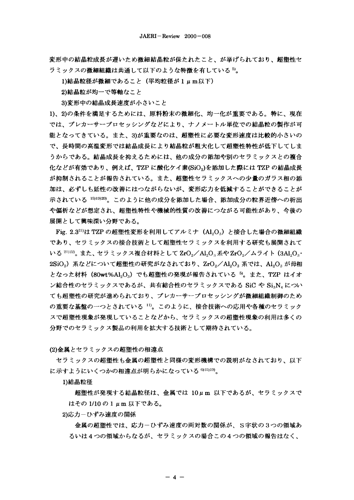変形中の結晶粒成長が遅いため微細結晶粒が保たれたこと、が挙げられており、超塑性セ ラミックスの微細組織は共通して以下のような特徴を有している<sup>5)</sup>。

1)結晶粒径が微細であること (平均粒径が1 um以下)

2)結晶粒が均一で等軸なこと

3)変形中の結晶成長速度が小さいこと

1)、2)の条件を満足するためには、原料粉末の微細化、均一化が重要である。特に、現在 では、プレカーサープロセッシングなどにより、ナノメートル単位での結晶粒の製作が可 能となってきている。また、3)が重要なのは、超塑性に必要な変形速度は比較的小さいの で、長時間の高温変形では結晶成長により結晶粒が粗大化して超塑性特性が低下してしま うからである。結晶成長を抑えるためには、他の成分の添加や別のセラミックスとの複合 化などが有効であり、例えば、TZP に酸化ケイ素(SiO。)を添加した際には TZP の結晶成長 が抑制されることが報告されている。また、超塑性セラミックスへの少量のガラス相の添 加は、必ずしも延性の改善にはつながらないが、変形応力を低減することができることが 示されている 15)19)20)。このように他の成分を添加した場合、添加成分の粒界近傍への析出 や偏析などが想定され、超塑性特性や機械的性質の改善につながる可能性があり、今後の 展開として興味深い分野である。

Fig. 2.3<sup>21)</sup>は TZP の超塑性変形を利用してアルミナ (Al<sub>2</sub>O<sub>3</sub>) と接合した場合の微細組織 であり、セラミックスの接合技術として超塑性セラミックスを利用する研究も展開されて いる 2022)。また、セラミックス複合材料として ZrO<sub>ッ</sub>/Al<sub>2</sub>O<sub>3</sub>系や ZrO<sub>ッ</sub>/ムライト (3Al<sub>2</sub>O<sub>3</sub>・ 2SiO。) 系などについて超塑性の研究がなされており、ZrO2/Al2O3 系では、Al2O3 が母相 となった材料 (80wt%Al2O3) でも超塑性の発現が報告されている 5。また、TZP はイオ ン結合性のセラミックスであるが、共有結合性のセラミックスである SiC や SigN4 につい ても超塑性の研究が進められており、プレカーサープロセッシングが微細組織制御のため の重要な基盤の一つとされている 11)。このように、接合技術への応用や各種のセラミック スで超塑性現象が発現していることなどから、セラミックスの超塑性現象の利用は多くの 分野でのセラミックス製品の利用を拡大する技術として期待されている。

(2)金属とセラミックスの超塑性の相違点

セラミックスの超塑性も金属の超塑性と同様の変形機構での説明がなされており、以下 に示すようにいくつかの相違点が明らかになっている 61519)。

1)結晶粒径

超塑性が発現する結晶粒径は、金属では 10μm 以下であるが、セラミックスで はその 1/10 の 1 μm 以下である。

2)応力ーひずみ速度の関係

金属の超塑性では、応力-ひずみ速度の両対数の関係が、S字状の3つの領域あ るいは4つの領域からなるが、セラミックスの場合この4つの領域の報告はなく、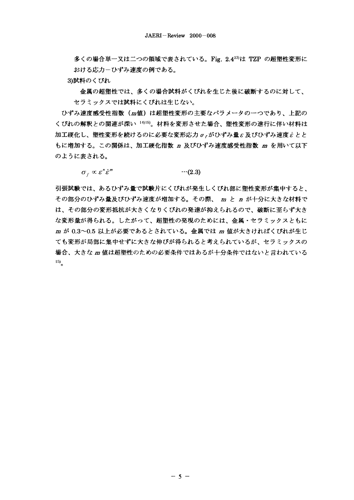多くの場合単一又は二つの領域で表されている。Fig. 2.423)は TZP の超塑性変形に おける応力ーひずみ速度の例である。

3)試料のくびれ

金属の超塑性では、多くの場合試料がくびれを生じた後に破断するのに対して、 セラミックスでは試料にくびれは生じない。

ひずみ速度感受性指数(四値)は超塑性変形の主要なパラメータの一つであり、上記の くびれの解釈との関連が深い 1015)。材料を変形させた場合、塑性変形の進行に伴い材料は  $m$ 工硬化し、塑性変形を続けるのに必要な変形応力  $\sigma$ , がひずみ量  $\varepsilon$  及びひずみ速度 $\varepsilon$  とと もに増加する。この関係は、加工硬化指数 n 及びひずみ速度感受性指数 m を用いて以下 のように表される。

 $\sigma_r \propto \varepsilon^n \dot{\varepsilon}^m$  $\cdots$ (2.3)

引張試験では、あるひずみ量で試験片にくびれが発生しくびれ部に塑性変形が集中すると、 その部分のひずみ量及びひずみ速度が増加する。その際、 m と n が十分に大きな材料で は、その部分の変形抵抗が大きくなりくびれの発達が抑えられるので、破断に至らず大き な変形量が得られる。したがって、超塑性の発現のためには、金属・セラミックスともに m が 0.3~0.5 以上が必要であるとされている。金属では m 値が大きければくびれが生じ ても変形が局部に集中せずに大きな伸びが得られると考えられているが、セラミックスの 場合、大きな m 値は超塑性のための必要条件ではあるが十分条件ではないと言われている  $15)$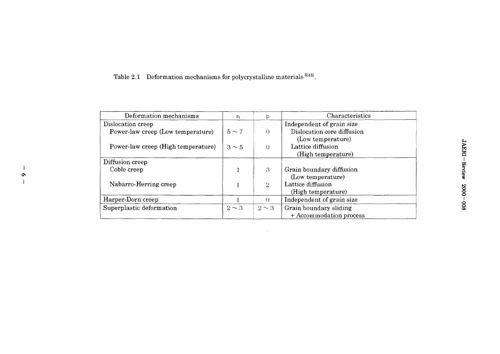Table 2.1 Deformation mechanisms for polycrystalline materials  $5113$ .

 $\mathbf{1}$  $\bullet$  $\overline{1}$ 

| Deformation mechanisms             | n          | Þ                | Characteristics            |
|------------------------------------|------------|------------------|----------------------------|
| Dislocation creep                  |            |                  | Independent of grain size  |
| Power-law creep (Low temperature)  | $5 \sim 7$ | $\left( \right)$ | Dislocation core diffusion |
|                                    |            |                  | (Low temperature)          |
| Power-law creep (High temperature) | $3 \sim 5$ | $\left($         | Lattice diffusion          |
|                                    |            |                  | (High temperature)         |
| Diffusion creep                    |            |                  |                            |
| Coble creep                        |            | $\cdot$          | Grain boundary diffusion   |
|                                    |            |                  | (Low temperature)          |
| Nabarro-Herring creep              |            | $\overline{2}$   | Lattice diffusion          |
|                                    |            |                  | (High temperature)         |
| Harper-Dorn creep                  |            | $\Omega$         | Independent of grain size  |
| Superplastic deformation           | $2 \sim 3$ | $2 \sim 3$       | Grain boundary sliding     |
|                                    |            |                  | + Accommodation process    |

 $\sim 10^{11}$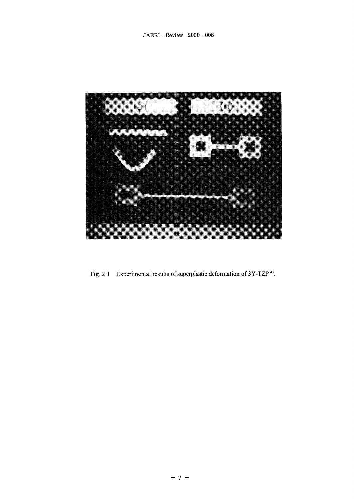

Fig. 2.1 Experimental results of superplastic deformation of 3Y-TZP<sup>4)</sup>.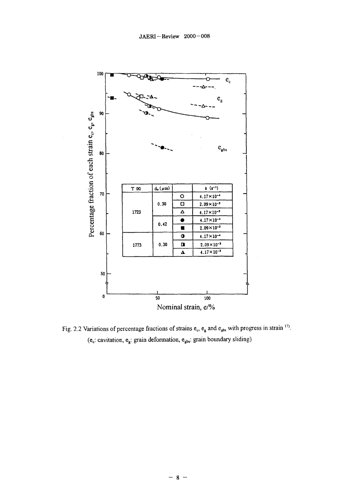

Fig. 2.2 Variations of percentage fractions of strains  $e_c$ ,  $e_g$  and  $e_{gbs}$  with progress in strain <sup>17</sup>. ( $e_c$ : cavitation,  $e_g$ : grain deformation,  $e_{gbs}$ : grain boundary sliding)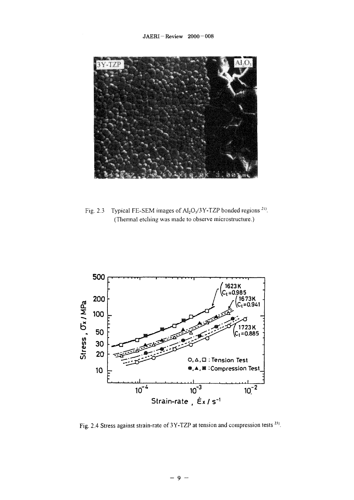

Fig. 2.3 Typical FE-SEM images of  $Al_2O_3/3Y-TZP$  bonded regions<sup>21)</sup>. (Thermal etching was made to observe microstructure.)



Fig. 2.4 Stress against strain-rate of 3Y-TZP at tension and compression tests<sup>23)</sup>.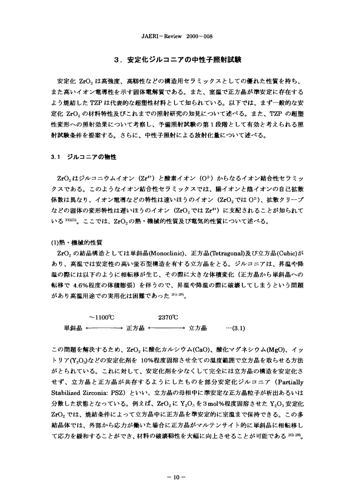# 3. 安定化ジルコニアの中性子照射試験

安定化 ZrO。は高強度、高靱性などの構造用セラミックスとしての優れた性質を持ち、 また高いイオン電導性を示す固体電解質である。また、室温で正方晶が準安定に存在する よう焼結した TZP は代表的な超塑性材料として知られている。以下では、まず一般的な安 定化 ZrO。の材料特性及びこれまでの照射研究の知見について述べる。また、TZP の超塑 性変形への照射効果について考察し、予備照射試験の第1段階として有効と考えられる照 射試験条件を提案する。さらに、中性子照射による放射化量について述べる。

## 3.1 ジルコニアの物性

ZrO<sub>2</sub>はジルコニウムイオン (Zr<sup>4+</sup>) と酸素イオン (O<sup>2</sup>) からなるイオン結合性セラミッ クスである。このようなイオン結合性セラミックスでは、陽イオンと陰イオンの自己拡散 係数は異なり、イオン電導などの特性は速いほうのイオン(ZrO, では O2)、拡散クリープ などの固体の変形特性は遅いほうのイオン (ZrO2 では Zr<sup>4+</sup>) に支配されることが知られて いる<sup>24)25)</sup>。ここでは、ZrO<sub>2</sub>の熱・機械的性質及び電気的性質について述べる。

(1) 熱·機械的性質

ZrO<sub>2</sub> の結晶構造としては単斜晶(Monoclinic)、正方晶(Tetragonal)及び立方晶(Cubic)が あり、高温では安定性の高い蛍石型構造を有する立方晶をとる。ジルコニアは、昇温や降 温の際には以下のように相転移が生じ、その際に大きな体積変化(正方晶から単斜晶への 転移で 4.6%程度の体積膨張)を伴うので、昇温や降温の際に破壊してしまうという問題 があり高温用途での実用化は困難であった 26)-28)。

 $\sim$ 1100°C 2370℃ 

この問題を解決するため、ZrO2 に酸化カルシウム(CaO)、酸化マグネシウム(MgO)、イッ トリア(Y2Og)などの安定化剤を 10%程度固溶させ全ての温度範囲で立方晶を取らせる方法 がとられている。これに対して、安定化剤を少なくして完全には立方晶の構造を安定化さ せず、立方晶と正方晶が共存するようにしたものを部分安定化ジルコニア (Partially Stabilized Zirconia: PSZ) といい、立方晶の母相中に準安定な正方晶粒子が析出あるいは 分散した状態となっている。例えば、ZrO,に Y,O, を3mol%程度固溶させた Y,O, 安定化 ZrO。では、焼結条件によって立方晶中に正方晶を準安定的に室温まで保持できる。この多 結晶体では、外部から応力が働いた場合に正方晶がマルテンサイト的に単斜晶に相転移し て応力を緩和することができ、材料の破壊靱性を大幅に向上させることが可能である 26-28。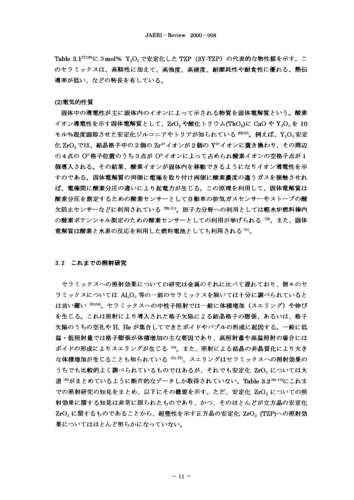Table 3.1<sup>27)28)</sup>に3mol% Y<sub>2</sub>O<sub>3</sub>で安定化した TZP (3Y-TZP) の代表的な物性値を示す。こ のセラミックスは、高靱性に加えて、高強度、高硬度、耐摩耗性や耐食性に優れる、熱伝 導率が低い、などの特長を有している。

#### (2) 雷気的性質

固体中の導電性が主に固体内のイオンによって示される物質を固体電解質という。酸素 イオン導電性を示す固体電解質として、ZrO。や酸化トリウム(ThO。)に CaO や Y<sub>2</sub>O<sub>3</sub>を 10 モル%程度固溶させた安定化ジルコニアやトリアが知られている<sup>29)30)</sup>。例えば、Y<sub>2</sub>O<sub>3</sub>安定 化ZrO。では、結晶格子中の2個のZr<sup>4+</sup>イオンが2個のY<sup>3+</sup>イオンに置き換わり、その周辺 の4点の O2格子位置のうち3点が O2イオンによって占められ酸素イオンの空格子点が1 個導入される。その結果、酸素イオンが固体内を移動できるようになりイオン導電性を示 すのである。固体電解質の両側に電極を取り付け両側に酸素濃度の違うガスを接触させれ ば、電極間に酸素分圧の違いにより起電力が生じる。この原理を利用して、固体電解質は 酸素分圧を測定するための酸素センサーとして自動車の排気ガスセンサーやストーブの酸 欠防止センサーなどに利用されている 20)-31)。原子力分野への利用としては軽水炉燃料棒内 の酸素ポテンシャル測定のための酸素センサーとしての利用が挙げられる 32。また、固体 電解質は酸素と水素の反応を利用した燃料電池としても利用される 31)。

# 3.2 これまでの照射研究

セラミックスへの照射効果についての研究は金属のそれに比べて遅れており、個々のセ ラミックスについては Al,O。等の一部のセラミックスを除いては十分に調べられていると は言い難い 3334)。セラミックスへの中性子照射では一般に体積増加(スエリング)や伸び を生じる。これは照射により導入された格子欠陥による結晶格子の膨張、あるいは、格子 欠陥のうちの空孔や H. He が集合してできたボイドやバブルの形成に起因する。一般に低 温・低照射量では格子膨張が体積増加の主な要因であり、高照射量や高温照射の場合には ボイドの形成によりスエリングが生じる 30。また、照射による結晶の非晶質化により大き な体積増加が生じることも知られている 35,37)。スエリングはセラミックスへの照射効果の うちでも比較的よく調べられているものではあるが、それでも安定化 ZrO2 については大 道 <sup>38)</sup>がまとめているように断片的なデータしか取得されていない。Table 3.2<sup>:8)-44</sup>にこれま での照射研究の知見をまとめ、以下にその概要を示す。ただ、安定化 ZrO。についての照 射効果に関する知見は非常に限られたものであり、かつ、そのほとんどが立方晶の安定化  $ZrO<sub>2</sub>$ に関するものであることから、超塑性を示す正方晶の安定化  $ZrO<sub>2</sub>$  (TZP)への照射効 果についてはほとんど明らかになっていない。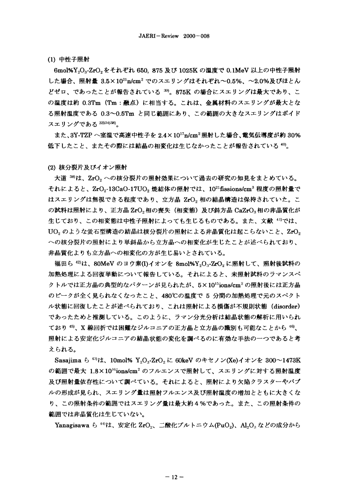# (1) 中性子照射

6mol%Y,O<sub>3</sub>-ZrO<sub>2</sub>をそれぞれ 650, 875 及び 1025K の温度で 0.1MeV 以上の中性子照射 した場合、照射量 3.5×1021n/cm2 でのスエリングはそれぞれ~0.5%、~2.0%及びほとん どゼロ、であったことが報告されている<sup>39)</sup>。875K の場合にスエリングは最大であり、こ の温度は約 0.3Tm (Tm:融点)に相当する。これは、金属材料のスエリングが最大とな る照射温度である 0.3~0.5Tm と同じ範囲にあり、この範囲の大きなスエリングはボイド スエリングである 3334)38)。

また、3Y-TZP へ室温で高速中性子を 2.4×10<sup>17</sup>n/cm<sup>2</sup> 照射した場合、電気伝導度が約 30% 低下したこと、またその際には結晶の相変化は生じなかったことが報告されている 40。

## (2) 核分裂片及びイオン照射

大道 39は、ZrO。への核分裂片の照射効果について過去の研究の知見をまとめている。 それによると、ZrO<sub>2</sub>-13CaO-17UO。焼結体の照射では、10<sup>21</sup>fissions/cm<sup>3</sup> 程度の照射量で はスエリングは無視できる程度であり、立方晶 ZrO,相の結晶構造は保持されていた。こ の試料は照射により、正方晶 ZrO<sub>2</sub>相の喪失(相変態)及び斜方晶 CaZrO<sub>3</sub>相の非晶質化が 生じており、この相変態は中性子照射によっても生じるものである。また、文献 4"では、 UO<sub>2</sub>のような蛍石型構造の結晶は核分裂片の照射による非晶質化は起こらないこと、ZrO<sub>2</sub> への核分裂片の照射により単斜晶から立方晶への相変化が生じたことが述べられており、 非晶質化よりも立方晶への相変化の方が生じ易いとされている。

福田ら <sup>42)</sup>は、80MeV のヨウ素(I)イオンを 8mol%Y<sub>2</sub>O<sub>3</sub>-ZrO<sub>2</sub> に照射して、照射後試料の 加熱処理による回復挙動について報告している。それによると、未照射試料のラマンスペ クトルでは正方晶の典型的なパターンが見られたが、5×10<sup>15</sup>ions/cm<sup>2</sup>の照射後には正方晶 のピークが全く見られなくなったこと、480℃の温度で 5 分間の加熱処理で元のスペクト ル状態に回復したことが述べられており、これは照射による損傷が不規則状態 (disorder) であったためと推測している。このように、ラマン分光分析は結晶状態の解析に用いられ ており<sup>45</sup>、X 線回折では困難なジルコニアの正方晶と立方晶の識別も可能なことから46、 照射による安定化ジルコニアの結晶状態の変化を調べるのに有効な手法の一つであると考 えられる。

Sasajima ら <sup>43</sup>は、10mol% Y<sub>2</sub>O<sub>3</sub>-ZrO<sub>2</sub> に 60keV のキセノン(Xe)イオンを 300~1473K の範囲で最大 1.8×10<sup>16</sup>ions/cm<sup>2</sup> のフルエンスで照射して、スエリングに対する照射温度 及び照射量依存性について調べている。それによると、照射により欠陥クラスターやバブ ルの形成が見られ、スエリング量は照射フルエンス及び照射温度の増加とともに大きくな り、この照射条件の範囲ではスエリング量は最大約4%であった。また、この照射条件の 範囲では非晶質化は生じていない。

Yanagisawa ら <sup>40</sup>は、安定化 ZrO<sub>2</sub>、二酸化プルトニウム(PuO<sub>2</sub>)、Al<sub>2</sub>O<sub>3</sub> などの成分から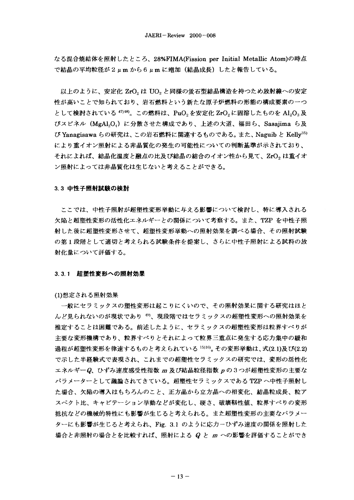なる混合焼結体を照射したところ、28%FIMA(Fission per Initial Metallic Atom)の時点 で結晶の平均粒径が 2 μm から 6 μm に増加(結晶成長)したと報告している。

以上のように、安定化 ZrO。は UO。と同様の蛍石型結晶構造を持つため放射線への安定 性が高いことで知られており、岩石燃料という新たな原子炉燃料の形態の構成要素の一つ として検討されている <sup>47)49</sup>。この燃料は、PuO。を安定化 ZrO。に固溶したものを Al。O。及 びスピネル (MgAl,OA) に分散させた構成であり、上述の大道、福田ら、Sasajima ら及 び Yanagisawa らの研究は、この岩石燃料に関連するものである。また、Naguib と Kelly<sup>35)</sup> により重イオン照射による非晶質化の発生の可能性についての判断基準が示されており、 それによれば、結晶化温度と融点の比及び結晶の結合のイオン性から見て、ZrO2は重イオ ン照射によっては非晶質化は生じないと考えることができる。

#### 3.3 中性子照射試験の検討

ここでは、中性子照射が超塑性変形挙動に与える影響について検討し、特に導入される 欠陥と超塑性変形の活性化エネルギーとの関係について考察する。また、TZP を中性子照 射した後に超塑性変形させて、超塑性変形挙動への照射効果を調べる場合、その照射試験 の第1段階として適切と考えられる試験条件を提案し、さらに中性子照射による試料の放 射化量について評価する。

## 3.3.1 超塑性変形への照射効果

(1)想定される照射効果

一般にセラミックスの塑性変形は起こりにくいので、その照射効果に関する研究はほと んど見られないのが現状であり<sup>40</sup>、現段階ではセラミックスの超塑性変形への照射効果を 推定することは困難である。前述したように、セラミックスの超塑性変形は粒界すべりが 主要な変形機構であり、粒界すべりとそれによって粒界三重点に発生する応力集中の緩和 過程が超塑性変形を律速するものと考えられている <sup>15)16)</sup>。その変形挙動は、式(2.1)及び(2.2) で示した半経験式で表現され、これまでの超塑性セラミックスの研究では、変形の活性化 エネルギーQ、ひずみ速度感受性指数 m 及び結晶粒径指数 p の3つが超塑性変形の主要な パラメーターとして議論されてきている。超塑性セラミックスである TZP へ中性子照射し た場合、欠陥の導入はもちろんのこと、正方晶から立方晶への相変化、結晶粒成長、粒ア スペクト比、キャビテーション挙動などが変化し、硬さ、破壊靭性値、粒界すべりの変形 抵抗などの機械的特性にも影響が生じると考えられる。また超塑性変形の主要なパラメー ターにも影響が生じると考えられ、Fig. 3.1 のように応力ーひずみ速度の関係を照射した 場合と非照射の場合とを比較すれば、照射による Q と m への影響を評価することができ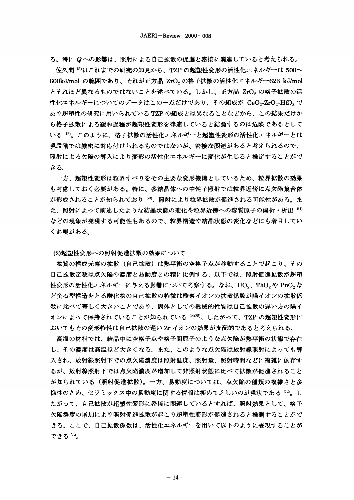る。特に Qへの影響は、照射による自己拡散の促進と密接に関連していると考えられる。

、TZP の超塑性変形の活性化エネルギーは 500〜 600kJ/mol の範囲であり、それが正方晶 ZrO $_2$ の格子拡散の活性化エネルギー623 kJ/mol とそれほど異なるものではないことを述べている。しかし、正方晶 ZrO。の格子拡散の活 性化エネルギーについてのデータはこの一点だけであり、その組成が CeO<sub>2</sub>-ZrO<sub>2</sub>-HfO<sub>2</sub> で あり超塑性の研究に用いられている TZP の組成とは異なることなどから、この結果だけか ら格子拡散による緩和過程が超塑性変形を律速していると結論するのは危険であるとして いる <sup>15)</sup>。このように、格子拡散の活性化エネルギーと超塑性変形の活性化エネルギーとは 現段階では厳密に対応付けられるものではないが、密接な関連があると考えられるので、 照射による欠陥の導入により変形の活性化エネルギーに変化が生じると推定することがで きる。

一方、超塑性変形は粒界すべりをその主要な変形機構としているため、粒界拡散の効果 も考慮しておく必要がある。特に、多結晶体への中性子照射では粒界近傍に点欠陥集合体 が形成されることが知られており 50)、照射により粒界拡散が促進される可能性がある。ま た、照射によって前述したような結晶状態の変化や粒界近傍への溶質原子の偏析・析出 51) などの現象が発現する可能性もあるので、粒界構造や結晶状態の変化などにも着目してい く必要がある。

(2)超塑性変形への照射促進拡散の効果について

物質の構成元素の拡散(自己拡散)は熱平衡の空格子点が移動することで起こり、その 自己拡散定数は点欠陥の濃度と易動度との積に比例する。以下では、照射促進拡散が超塑 性変形の活性化エネルギーに与える影響について考察する。なお、UO。、ThO。や PuO。な ど蛍石型構造をとる酸化物の自己拡散の特徴は酸素イオンの拡散係数が陽イオンの拡散係 数に比べて著しく大きいことであり、固体としての機械的性質は自己拡散の遅い方の陽イ オンによって保持されていることが知られている <sup>24)25</sup>)。したがって、TZP の超塑性変形に おいてもその変形特性は自己拡散の遅い Zr イオンの効果が支配的であると考えられる。

高温の材料では、結晶中に空格子点や格子間原子のような点欠陥が熱平衡の状態で存在 し、その濃度は高温ほど大きくなる。また、このような点欠陥は放射線照射によっても導 入され、放射線照射下での点欠陥濃度は照射温度、照射量、照射時間などに複雑に依存す るが、放射線照射下では点欠陥濃度が増加して非照射状態に比べて拡散が促進されること が知られている(照射促進拡散)。一方、易動度については、点欠陥の種類の複雑さと多 様性のため、セラミックス中の易動度に関する情報は極めて乏しいのが現状である<sup>52</sup>。し たがって、自己拡散が超塑性変形に密接に関連しているとすれば、照射効果として、格子 欠陥濃度の増加により照射促進拡散が起こり超塑性変形が促進されると推測することがで きる。ここで、自己拡散係数は、活性化エネルギーを用いて以下のように表現することが できる 53)。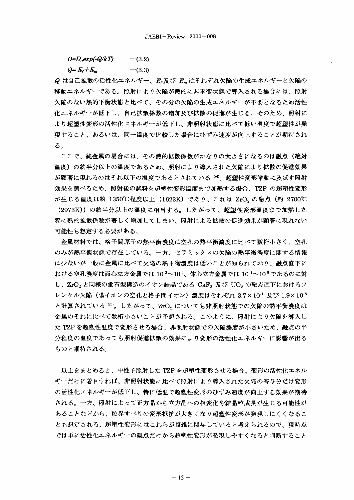*D=Duexp(-Q/kT)*  $\cdots(3.2)$ 

 $Q = E_r + E_m$  $\cdots(3.3)$ 

Q は自己拡散の活性化エネルギー、ER及び Emはそれぞれ欠陥の生成エネルギーと欠陥の 移動エネルギーである。照射により欠陥が熱的に非平衡状態で導入される場合には、照射 欠陥のない熱的平衡状態と比べて、その分の欠陥の生成エネルギーが不要となるため活性 化エネルギーが低下し、自己拡散係数の増加及び拡散の促進が生じる。そのため、照射に より超塑性変形の活性化エネルギーが低下し、非照射状態に比べて低い温度で超塑性が発 現すること、あるいは、同一温度で比較した場合にひずみ速度が向上することが期待され る。

ここで、純金属の場合には、その熱的拡散係数がかなりの大きさになるのは融点(絶対 温度)の約半分以上の温度であるため、照射により導入された欠陥により拡散の促進効果 が顕著に現れるのはそれ以下の温度であるとされている50。超塑性変形挙動に及ぼす照射 効果を調べるため、照射後の試料を超塑性変形温度まで加熱する場合、TZP の超塑性変形 (1623K)であり、これは ZrO<sub>2</sub> の融点(約 2700℃ (2973K))の約半分以上の温度に相当する。したがって、超塑性変形温度まで加熱した 際に熱的拡散係数が著しく増加してしまい、照射による拡散の促進効果が顕著に現れない 可能性も想定する必要がある。

金属材料では、格子間原子の熱平衡濃度は空孔の熱平衡濃度に比べて数桁小さく、空孔 のみが熱平衡状態で存在している。一方、セラミックスの欠陥の熱平衡濃度に関する情報 は少ないが一般に金属に比べて欠陥の熱平衡濃度は低いことが知られており、融点直下に  $10^{-3}$ ~ $10^{-4}$ 、体心 、 ${\bf ZrO}_2$ と同様の蛍石型構造のイオン結晶である  ${\bf CaF}_2$  及び  ${\bf UO}_2$ レンケル欠陥(陽イオンの空孔と格子間イオン)濃度はそれぞれ 3.7×10<sup>-11</sup>及び 1.9×10<sup>-8</sup> と計算されている 55。したがって、ZrO。についても非照射状態での欠陥の熱平衡濃度は 金属のそれに比べて数桁小さいことが予想される。このように、照射により欠陥を導入し た TZP を超塑性温度で変形させる場合、非照射状態での欠陥濃度が小さいため、融点の半 分程度の温度であっても照射促進拡散の効果により変形の活性化エネルギーに影響が出る ものと期待される。

以上をまとめると、中性子照射した TZP を超塑性変形させる場合、変形の活性化エネル ギーだけに着目すれば、非照射状態に比べて照射により導入された欠陥の寄与分だけ変形 の活性化エネルギーが低下し、特に低温で超塑性変形のひずみ速度が向上する効果が期待 される。一方、照射によって正方晶から立方晶への相変化や結晶粒成長が生じる可能性が あることなどから、粒界すべりの変形抵抗が大きくなり超塑性変形が発現しにくくなるこ とも想定される。超塑性変形にはこれらが複雑に関与していると考えられるので、現時点 では単に活性化エネルギーの観点だけから超塑性変形が発現しやすくなると判断すること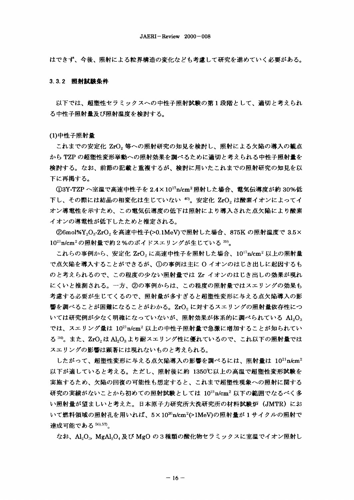はできず、今後、照射による粒界構造の変化なども考慮して研究を進めていく必要がある。

#### 3.3.2 照射試験条件

以下では、超塑性セラミックスへの中性子照射試験の第1段階として、適切と考えられ る中性子照射量及び照射温度を検討する。

## (1)中性子照射量

これまでの安定化 ZrO2 等への照射研究の知見を検討し、照射による欠陥の導入の観点 から TZP の超塑性変形挙動への照射効果を調べるために適切と考えられる中性子照射量を 検討する。なお、前節の記載と重複するが、検討に用いたこれまでの照射研究の知見を以 下に再掲する。

①3Y-TZP へ室温で高速中性子を 2.4×10<sup>17</sup>n/cm<sup>2</sup> 照射した場合、電気伝導度が約 30%低 下し、その際には結晶の相変化は生じていない<sup>40)</sup>。安定化 ZrO2 は酸素イオンによってイ オン導電性を示すため、この電気伝導度の低下は照射により導入された点欠陥により酸素 イオンの導電性が低下したためと推定される。

②6mol%Y<sub>2</sub>O<sub>3</sub>-ZrO<sub>2</sub>を高速中性子(>0.1MeV)で照射した場合、875K の照射温度で 3.5× 10<sup>21</sup>n/cm<sup>2</sup>の照射量で約2%のボイドスエリングが生じている<sup>399</sup>。

これらの事例から、安定化 ZrO2 に高速中性子を照射した場合、10<sup>17</sup>n/cm<sup>2</sup> 以上の照射量 で点欠陥を導入することができるが、①の事例は主に O イオンのはじき出しに起因するも のと考えられるので、この程度の少ない照射量では Zr イオンのはじき出しの効果が現れ にくいと推測される。一方、②の事例からは、この程度の照射量ではスエリングの効果も 考慮する必要が生じてくるので、照射量が多すぎると超塑性変形に与える点欠陥導入の影 響を調べることが困難になることがわかる。ZrO。に対するスエリングの照射量依存性につ いては研究例が少なく明確になっていないが、照射効果が体系的に調べられている Al,O<sub>3</sub> では、スエリング量は 1021n/cm2 以上の中性子照射量で急激に増加することが知られてい る 34)。また、ZrO2は Al2O3より耐スエリング性に優れているので、これ以下の照射量では スエリングの影響は顕著には現れないものと考えられる。

したがって、超塑性変形に与える点欠陥導入の影響を調べるには、照射量は  $10^{21}$ n/cm<sup>2</sup> 以下が適していると考える。ただし、照射後に約 1350℃以上の高温で超塑性変形試験を 実施するため、欠陥の回復の可能性も想定すると、これまで超塑性現象への照射に関する 研究の実績がないことから初めての照射試験としては 1021n/cm2 以下の範囲でなるべく多 い照射量が望ましいと考えた。日本原子力研究所大洗研究所の材料試験炉(JMTR)にお いて燃料領域の照射孔を用いれば、5×10<sup>30</sup>n/cm<sup>2</sup>(>1MeV)の照射量が1サイクルの照射で 達成可能である 56),57)。

なお、Al,O., MgAl,O. 及び MgO の3種類の酸化物セラミックスに室温でイオン照射し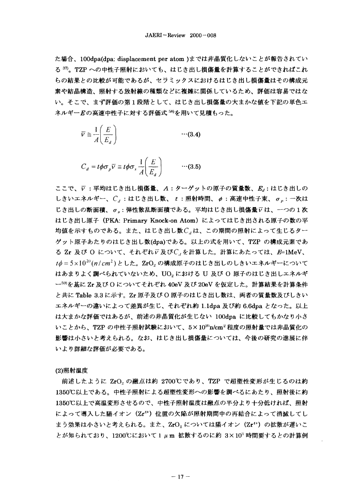た場合、100dpa(dpa: displacement per atom )までは非晶質化しないことが報告されてい る 37)。TZP への中性子照射においても、はじき出し損傷量を計算することができればこれ らの結果との比較が可能であるが、セラミックスにおけるはじき出し損傷量はその構成元 素や結晶構造、照射する放射線の種類などに複雑に関係しているため、評価は容易ではな い。そこで、まず評価の第1段階として、はじき出し損傷量の大まかな値を下記の単色エ ネルギーEの高速中性子に対する評価式<sup>58</sup>を用いて見積もった。

$$
\overline{V} \cong \frac{1}{A} \left( \frac{E}{E_d} \right) \qquad \qquad \cdots (3.4)
$$

$$
C_d = t\phi \sigma_p \overline{v} \cong t\phi \sigma_s \frac{1}{A} \left(\frac{E}{E_d}\right) \qquad \cdots (3.5)
$$

ここで、v:平均はじき出し損傷量、A:ターゲットの原子の質量数、Ed:はじき出しの しきいエネルギー、 $C_d$ :はじき出し数、 t:照射時間、  $\phi$ :高速中性子束、  $\sigma_n$ : 一次は じき出しの断面積、o.: 弾性散乱断面積である。平均はじき出し損傷量アは、一つの1次 はじき出し原子 (PKA: Primary Knock-on Atom) によってはじき出される原子の数の平 均値を示すものである。また、はじき出し数C<sub>a</sub>は、この期間の照射によって生じるター ゲット原子あたりのはじき出し数(dpa)である。以上の式を用いて、TZP の構成元素であ る Zr 及び O について、それぞれレ及びC」を計算した。計算にあたっては、E=1MeV、  $t\phi = 5 \times 10^{20} (n/cm^2)$ とした。ZrO<sub>2</sub>の構成原子のはじき出しのしきいエネルギーについて はあまりよく調べられていないため、UO<sub>2</sub>における U 及び O 原子のはじき出しエネルギ ー59)を基に Zr 及び O についてそれぞれ 40eV 及び 20eV を仮定した。計算結果を計算条件 と共に Table 3.3 に示す。Zr 原子及びO 原子のはじき出し数は、両者の質量数及びしきい エネルギーの違いによって差異が生じ、それぞれ約 1.1dpa 及び約 6.6dpa となった。以上 は大まかな評価ではあるが、前述の非晶質化が生じない 100dpa に比較してもかなり小さ いことから、TZP の中性子照射試験において、5×10x'n/cm2 程度の照射量では非晶質化の 影響は小さいと考えられる。なお、はじき出し損傷量については、今後の研究の進展に伴 いより詳細な評価が必要である。

# (2)照射温度

前述したように ZrO<sub>2</sub> の融点は約 2700℃であり、TZP で超塑性変形が生じるのは約 1350℃以上である。中性子照射による超塑性変形への影響を調べるにあたり、照射後に約 1350℃以上で高温変形させるので、中性子照射温度は融点の半分より十分低ければ、照射 によって導入した陽イオン (Zr<sup>4+</sup>) 位置の欠陥が照射期間中の再結合によって消滅してし まう効果は小さいと考えられる。また、ZrO2 については陽イオン (Zr<sup>4+</sup>) の拡散が遅いこ とが知られており、1200℃において1μm 拡散するのに約 3×10<sup>3</sup>時間要するとの計算例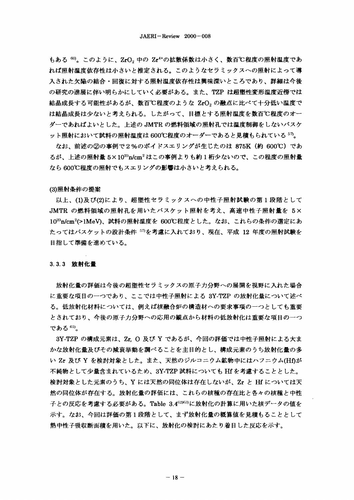もある <sup>60)</sup>。このように、ZrO。中の Zr<sup>4+</sup>の拡散係数は小さく、数百℃程度の照射温度であ れば照射温度依存性は小さいと推定される。このようなセラミックスへの照射によって導 入された欠陥の結合・回復に対する照射温度依存性は興味深いところであり、詳細は今後 の研究の進展に伴い明らかにしていく必要がある。また、TZP は超塑性変形温度近傍では 結晶成長する可能性があるが、数百℃程度のような ZrO。の融点に比べて十分低い温度で は結晶成長は少ないと考えられる。したがって、目標とする照射温度を数百℃程度のオー ダーであればよいとした。上述のJMTR の燃料領域の照射孔では温度制御をしないバスケ ット照射において試料の照射温度は 600℃程度のオーダーであると見積もられている 57。

なお、前述の②の事例で2%のボイドスエリングが生じたのは 875K (約 600℃) であ るが、上述の照射量 5×1020n/cm2 はこの事例よりも約1桁少ないので、この程度の照射量 なら600℃程度の照射でもスエリングの影響は小さいと考えられる。

## (3)照射条件の提案

以上、(1)及び(2)により、超塑性セラミックスへの中性子照射試験の第1段階として JMTR の燃料領域の照射孔を用いたバスケット照射を考え、高速中性子照射量を 5× 1020n/cm<sup>2</sup>(>1MeV)、試料の照射温度を 600℃程度とした。なお、これらの条件の選定にあ たってはバスケットの設計条件 57を考慮に入れており、現在、平成 12 年度の照射試験を 目指して準備を進めている。

## 3.3.3 放射化量

放射化量の評価は今後の超塑性セラミックスの原子力分野への展開を視野に入れた場合 に重要な項目の一つであり、ここでは中性子照射による 3Y-TZP の放射化量について述べ る。低放射化材料については、例えば核融合炉の構造材への要求事項の一つとしても重要 とされており、今後の原子力分野への応用の観点から材料の低放射化は重要な項目の一つ である 61)。

3Y-TZP の構成元素は、Zr. O 及び Y であるが、今回の評価では中性子照射による大ま かな放射化量及びその減衰挙動を調べることを主目的とし、構成元素のうち放射化量の多 い Zr 及び Y を検討対象とした。また、天然のジルコニウム鉱物中にはハフニウム(Hf)が 不純物として少量含まれているため、3Y-TZP 試料についても Hf を考慮することとした。 検討対象とした元素のうち、Y には天然の同位体は存在しないが、Zr と Hf については天 然の同位体が存在する。放射化量の評価には、これらの核種の存在比と各々の核種と中性 子との反応を考慮する必要がある。Table 3.4<sup>62)63</sup>)に放射化の計算に用いた核データの値を 示す。なお、今回は評価の第1段階として、まず放射化量の概算値を見積もることとして 熱中性子吸収断面積を用いた。以下に、放射化の検討にあたり着目した反応を示す。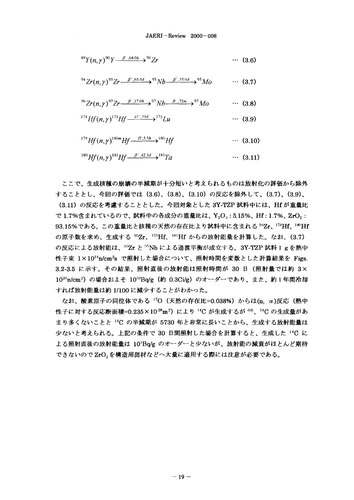$$
^{89}Y(n,\gamma)^{90}Y \xrightarrow{\beta^-,64.0h} 3^{90}Zr \qquad \qquad \cdots \qquad (3.6)
$$

<sup>94</sup>Zr(n,\gamma)<sup>95</sup>Zr
$$
\xrightarrow{\beta^-,65.5d}
$$
<sup>95</sup>Nb $\xrightarrow{\beta^-,35.0d}$ <sup>95</sup>Mo  $\cdots$  (3.7)

<sup>96</sup>Zr(n,\gamma)<sup>97</sup>Zr
$$
\xrightarrow{\beta^7,17.0h}
$$
 <sup>97</sup>Nb $\xrightarrow{\beta^7,72m}$  <sup>97</sup>Mo  $\cdots$  (3.8)

$$
^{174}Hf(n,\gamma)^{175}Hf \xrightarrow{EC,70d} ^{175}Lu \qquad \qquad \cdots \qquad (3.9)
$$

$$
^{179}Hf(n,\gamma)^{180m}Hf \xrightarrow{\text{IT},5.5h} ^{180}Hf \qquad \qquad \cdots \qquad (3.10)
$$

 $^{180}Hf(n,y)^{181}Hf \longrightarrow^{p^4,42.5d} P^{181}Ta$  $\cdots$  (3.11)

ここで、生成核種の崩壊の半減期が十分短いと考えられるものは放射化の評価から除外 することとし、今回の評価では (3.6)、(3.8)、(3.10) の反応を除外して、(3.7)、(3.9)、 (3.11) の反応を考慮することとした。今回対象とした 3Y-TZP 試料中には、Hf が重量比 で1.7%含まれているので、試料中の各成分の重量比は、Y<sub>"</sub>O<sub>"</sub>:5.15%、Hf:1.7%、ZrO<sub>"</sub>: 93.15%である。この重量比と核種の天然の存在比より試料中に含まれる<sup>94</sup>Zr、174Hf、180Hf の原子数を求め、生成する 95Zr、175Hf、181Hf からの放射能量を計算した。なお、(3.7) の反応による放射能は、<sup>95</sup>Zr と <sup>95</sup>Nb による過渡平衡が成立する。3Y-TZP 試料 1 g を熱中 性子束 1×10<sup>14</sup>n/cm<sup>2</sup>s で照射した場合について、照射時間を変数とした計算結果を Figs. 3.2-3.5 に示す。その結果、照射直後の放射能は照射時間が 30 日 (照射量では約 3× 1020n/cm<sup>2</sup>) の場合およそ 10<sup>10</sup>Ba/g (約 0.3Ci/g) のオーダーであり、また、約1年間冷却 すれば放射能量は約 1/100 に減少することがわかった。

なお、酸素原子の同位体である <sup>17</sup>O (天然の存在比=0.038%) からは(n, α)反応 (熱中 性子に対する反応断面積=0.235×10<sup>28</sup>m<sup>2</sup>) により <sup>14</sup>C が生成するが <sup>64)</sup>、14C の生成量があ まり多くないことと 14C の半減期が 5730 年と非常に長いことから、生成する放射能量は 少ないと考えられる。上記の条件で 30 日間照射した場合を計算すると、生成した 14C に よる照射直後の放射能量は 103Bq/g のオーダーと少ないが、放射能の減衰がほとんど期待 できないのでZrO2を構造用部材などへ大量に適用する際には注意が必要である。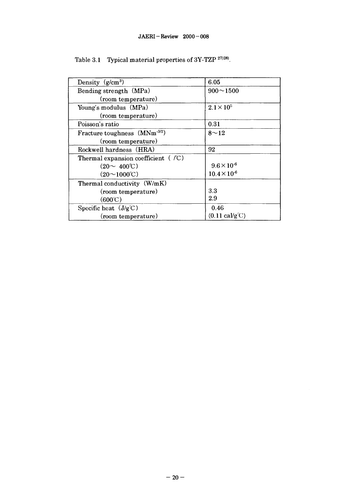| Density $(g/cm^3)$                           | 6.05                                   |
|----------------------------------------------|----------------------------------------|
| Bending strength (MPa)                       | $900 \sim 1500$                        |
| (room temperature)                           |                                        |
| Young's modulus (MPa)                        | $2.1 \times 10^5$                      |
| (room temperature)                           |                                        |
| Poisson's ratio                              | 0.31                                   |
| Fracture toughness (MNm <sup>-3/2</sup> )    | $8^{\sim}12$                           |
| (room temperature)                           |                                        |
| Rockwell hardness (HRA)                      | 92                                     |
| Thermal expansion coefficient ( $\sqrt{C}$ ) |                                        |
| $(20 \sim 400^{\circ}C)$                     | $9.6 \times 10^{-6}$                   |
| $(20 \sim 1000^{\circ}C)$                    | $10.4 \times 10^{-6}$                  |
| Thermal conductivity (W/mK)                  |                                        |
| (room temperature)                           | 3.3                                    |
| $(600^{\circ}\text{C})$                      | 2.9                                    |
| Specific heat $(J/g^{\circ}C)$               | 0.46                                   |
| (room temperature)                           | $(0.11 \text{ cal/g}^{\circ}\text{C})$ |

Table 3.1 Typical material properties of  $3Y-TZP$   $^{27/28)}$ .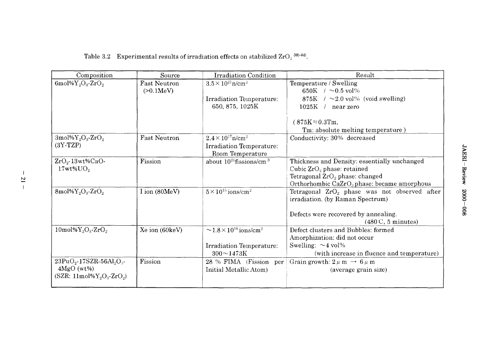| Composition                                        | Source                           | <b>Irradiation Condition</b>                              | Result                                                                              |
|----------------------------------------------------|----------------------------------|-----------------------------------------------------------|-------------------------------------------------------------------------------------|
| 6mol% $Y_2O_3$ -ZrO <sub>2</sub>                   | <b>Fast Neutron</b><br>(>0.1MeV) | $3.5 \times 10^{21}$ n/cm <sup>2</sup>                    | Temperature / Swelling<br>650K $/$ ~0.5 vol%                                        |
|                                                    |                                  | Irradiation Temperature:                                  | 875K $/ \sim 2.0$ vol% (void swelling)                                              |
|                                                    |                                  | 650, 875, 1025K                                           | $1025K$ /<br>near zero                                                              |
|                                                    |                                  |                                                           | $(875K = 0.3Tm,$                                                                    |
|                                                    |                                  |                                                           | Tm: absolute melting temperature)                                                   |
| 3mol% $Y_2O_3$ -Zr $O_2$                           | <b>Fast Neutron</b>              | $2.4 \times 10^{17}$ n/cm <sup>2</sup>                    | Conductivity: 30% decreased                                                         |
| $(3Y-TZP)$                                         |                                  | Irradiation Temperature:<br>Room Temperature              |                                                                                     |
| $ZrO2$ -13wt%CaO-                                  | Fission                          | about $10^{21}$ fissions/cm <sup>3</sup>                  | Thickness and Density: essentially unchanged                                        |
| $17wt\%$ U $O_2$                                   |                                  |                                                           | Cubic $ZrO2$ phase: retained                                                        |
|                                                    |                                  |                                                           | Tetragonal $ZrO_2$ phase: changed                                                   |
|                                                    |                                  |                                                           | Orthorhombic $CaZrO3$ phase: became amorphous                                       |
| 8mol% $Y_2O_3$ -Zr $O_2$                           | I ion (80MeV)                    | $5 \times 10^{15}$ ions/cm <sup>2</sup>                   | Tetragonal $ZrO_2$ phase was not observed after<br>irradiation. (by Raman Spectrum) |
|                                                    |                                  |                                                           | Defects were recovered by annealing.<br>$(480^{\circ}\text{C}, 5 \text{ minutes})$  |
| $10 \text{mol} %Y_2O_3$ -ZrO <sub>2</sub>          | Xe ion (60keV)                   | $\sim$ 1.8 $\times$ 10 <sup>16</sup> ions/cm <sup>2</sup> | Defect clusters and Bubbles: formed                                                 |
|                                                    |                                  |                                                           | Amorphization: did not occur                                                        |
|                                                    |                                  | Irradiation Temperature:                                  | Swelling: $\sim$ 4 vol%                                                             |
|                                                    |                                  | $300 - 1473K$                                             | (with increase in fluence and temperature)                                          |
| $23PuO2$ -17SZR-56Al <sub>2</sub> O <sub>3</sub> - | Fission                          | 28 % FIMA (Fission per                                    | Grain growth: $2 \mu$ m $\rightarrow 6 \mu$ m                                       |
| $4MgO(wt\%)$                                       |                                  | Initial Metallic Atom)                                    | (average grain size)                                                                |
| (SZR: 11mol% $Y_2O_3$ -ZrO <sub>2</sub> )          |                                  |                                                           |                                                                                     |

Table 3.2 Experimental results of irradiation effects on stabilized  $\rm ZrO_{2}$  <sup>38)-44)</sup>.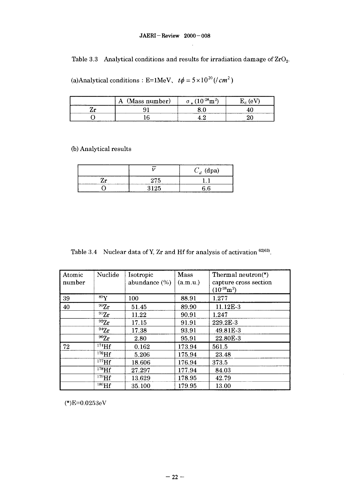# JAERI-Review 2000-008

Table 3.3 Analytical conditions and results for irradiation damage of  $ZrO<sub>2</sub>$ .

(a)Analytical conditions : E=1MeV,  $t\phi = 5 \times 10^{20}$  (/*cm*<sup>2</sup>)

| (Mass number)<br>Α | $0.28 - 2$ |  |
|--------------------|------------|--|
|                    |            |  |
|                    |            |  |

(b) Analytical results

|                        |      | $C_d$ (dpa) |
|------------------------|------|-------------|
| ' r<br>--------------- | 275  |             |
|                        | 3125 | ና ይ         |

Table 3.4 Nuclear data of Y, Zr and Hf for analysis of activation  $62963$ .

| Atomic<br>number | Nuclide   | Isotropic<br>abundance $(\%)$ | Mass<br>(a.m.u.) | Thermal neutron( $\ast$ )<br>capture cross section<br>$(10^{-28}m^2)$ |
|------------------|-----------|-------------------------------|------------------|-----------------------------------------------------------------------|
| 39               | $^{89}Y$  | 100                           | 88.91            | 1.277                                                                 |
| 40               | $^{90}Zr$ | 51.45                         | 89.90            | 11.12E-3                                                              |
|                  | $^{91}Zr$ | 11.22                         | 90.91            | 1.247                                                                 |
|                  | 92Zr      | 17.15                         | 91.91            | 229.2E-3                                                              |
|                  | 94Zr      | 17.38                         | 93.91            | 49.81E-3                                                              |
|                  | $^{96}Zr$ | 2.80                          | 95.91            | 22.80E-3                                                              |
| 72               | $174$ Hf  | 0.162                         | 173.94           | 561.5                                                                 |
|                  | $176$ Hf  | 5.206                         | 175.94           | 23.48                                                                 |
|                  | $177$ Hf  | 18.606                        | 176.94           | 373.5                                                                 |
|                  | $178$ Hf  | 27.297                        | 177.94           | 84.03                                                                 |
|                  | $179$ Hf  | 13.629                        | 178.95           | 42.79                                                                 |
|                  | $180$ Hf  | 35.100                        | 179.95           | 13.00                                                                 |

(\*)E=0.0253eV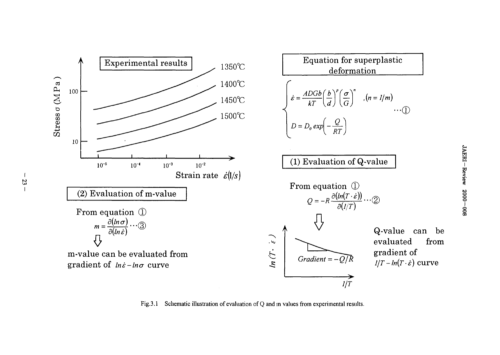

Fig.3.1 Schematic illustration of evaluation of Q and m values from experimental results.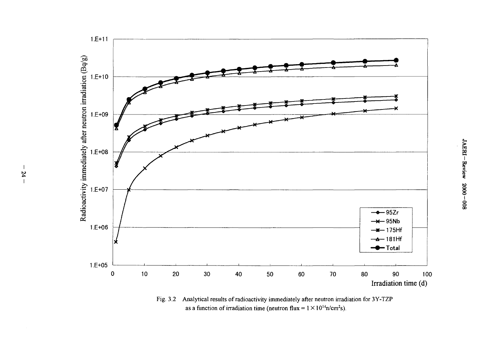

Fig. 3.2 Analytical results of radioactivity immediately after neutron irradiation for 3Y-TZP as a function of irradiation time (neutron flux =  $1 \times 10^{14}$ n/cm<sup>2</sup>s).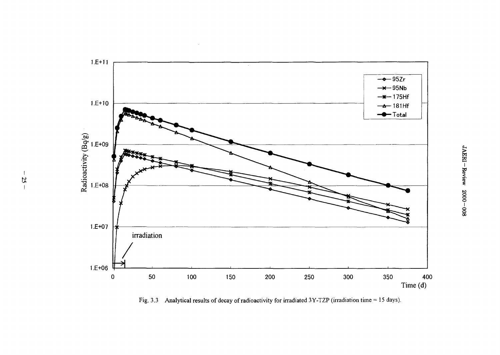

 $\mathcal{L}$ 

Fig. 3.3 Analytical results of decay of radioactivity for irradiated 3Y-TZP (irradiation time = 15 days).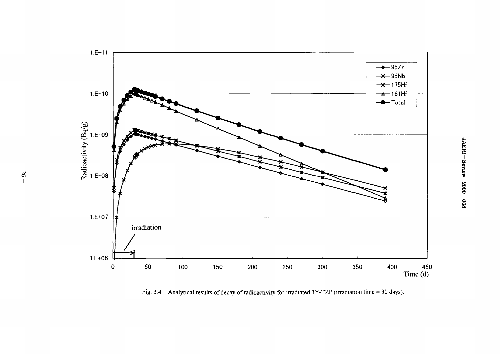

Fig. 3.4 Analytical results of decay of radioactivity for irradiated 3Y-TZP (irradiation time = 30 days).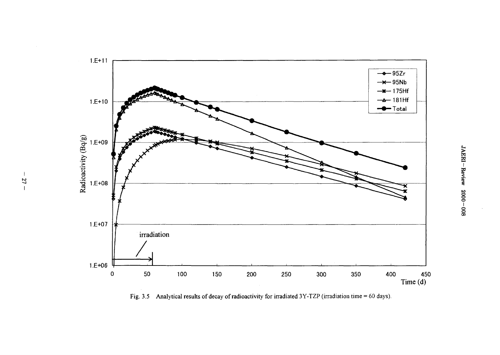

Fig. 3.5 Analytical results of decay of radioactivity for irradiated 3Y-TZP (irradiation time = 60 days).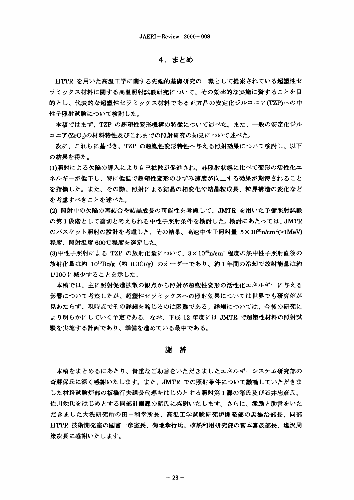# 4. まとめ

HTTR を用いた高温工学に関する先端的基礎研究の一環として提案されている超塑性セ ラミックス材料に関する髙温照射試験研究について、その効率的な実施に資することを目 的とし、代表的な超塑性セラミックス材料である正方晶の安定化ジルコニア(TZP)への中 性子照射試験について検討した。

本稿ではまず、TZP の超塑性変形機構の特徴について述べた。また、一般の安定化ジル コニア(ZrO。)の材料特性及びこれまでの照射研究の知見について述べた。

次に、これらに基づき、TZP の超塑性変形特性へ与える照射効果について検討し、以下 の結果を得た。

(1)照射による欠陥の導入により自己拡散が促進され、非照射状態に比べて変形の活性化エ ネルギーが低下し、特に低温で超塑性変形のひずみ速度が向上する効果が期待されること を指摘した。また、その際、照射による結晶の相変化や結晶粒成長、粒界構造の変化など を考慮すべきことを述べた。

(2) 照射中の欠陥の再結合や結晶成長の可能性を考慮して、JMTR を用いた予備照射試験 の第1段階として適切と考えられる中性子照射条件を検討した。検討にあたっては、JMTR のバスケット照射の設計を考慮した。その結果、高速中性子照射量 5×1020m2cm<sup>2</sup>(>1MeV) 程度、照射温度 600℃程度を選定した。

(3)中性子照射による TZP の放射化量について、3×103)n/cm2 程度の熱中性子照射直後の 放射化量は約 10<sup>10</sup>Bq/g(約 0.3Ci/g)のオーダーであり、約1年間の冷却で放射能量は約 1/100に減少することを示した。

本稿では、主に照射促進拡散の観点から照射が超塑性変形の活性化エネルギーに与える 影響について考察したが、超塑性セラミックスへの照射効果については世界でも研究例が 見あたらず、現時点でその詳細を論じるのは困難である。詳細については、今後の研究に より明らかにしていく予定である。なお、平成 12 年度には JMTR で超塑性材料の照射試 験を実施する計画であり、準備を進めている最中である。

## 铭 檎

本稿をまとめるにあたり、貴重なご助言をいただきましたエネルギーシステム研究部の 斎藤保氏に深く感謝いたします。また、JMTR での照射条件について議論していただきま した材料試験炉部の板橋行夫課長代理をはじめとする照射第1課の諸氏及び石井忠彦氏、 佐川勉氏をはじめとする同部計画課の諸氏に感謝いたします。さらに、激励と助言をいた だきました大洗研究所の田中利幸所長、高温工学試験研究炉開発部の馬場治部長、同部 HTTR 技術開発室の國富一彦室長、菊地孝行氏、核熱利用研究部の宮本喜晟部長、塩沢周 策次長に感謝いたします。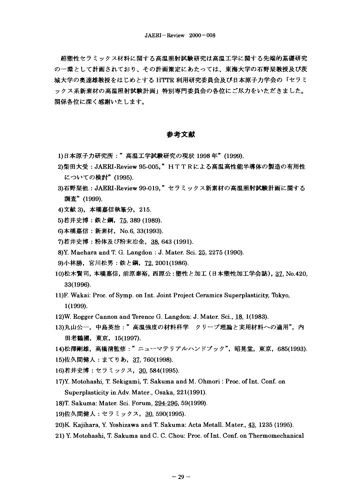超塑性セラミックス材料に関する高温照射試験研究は高温工学に関する先端的基礎研究 の一環として計画されており、その計画策定にあたっては、東海大学の石野栞教授及び茨 城大学の奥達雄教授をはじめとする HTTR 利用研究委員会及び日本原子力学会の「セラミ ックス系新素材の高温照射試験計画」特別専門委員会の各位にご尽力をいただきました。 関係各位に深く感謝いたします。

# 参考文献

- 1)日本原子力研究所:"高温工学試験研究の現状 1998年"(1999).
- 2)柴田大受:JAERI-Review 95-005."HTTRによる高温高性能半導体の製造の有用性 についての検討" (1995).
- **: JAERI-Review 99-019,"セラ** 調査" (1999).
- 4) 文献 3), 本橋嘉信執筆分, 215.
- 5)若井史博: 鉄と鋼, 75, 389 (1989).
- 6) 本橋嘉信: 新素材, No.6, 33(1993).
- 7)若井史博:粉体及び粉末冶金, 38, 643 (1991).
- 8)Y. Maehara and T. G. Langdon : J. Mater. Sci. 25, 2275 (1990).
- 9)小林勝, 宮川松男:鉄と鋼, 72, 2001(1986).
- 10)松木賢司,本橘嘉信, 前原泰裕, 西原公:塑性と加工(日本塑性加工学会誌), 37, No.420, 33(1996).
- 11)F. Wakai: Proc. of Symp. on Int. Joint Project Ceramics Superplasticity, Tokyo, 1(1999).
- 12)W. Rogger Cannon and Terence G. Langdon: J. Mater. Sci., 18, 1(1983).
- 13)丸山公一,中島英治:"高温強度の材料科学 クリープ理論と実用材料への適用",内 田老鶴圃, 東京, 15(1997).
- 14)松澤剛雄,高橋清監修:" ニューマテリアルハンドブック",昭晃堂,東京,685(1993).
- 15)佐久間健人:まてりあ, 37, 760(1998).
- 16)若井史博:セラミックス, 30, 584(1995).
- 17)Y. Motohashi, T. Sekigami, T. Sakuma and M. Ohmori: Proc. of Int. Conf. on Superplasticity in Adv. Mater., Osaka, 221(1991).
- 18)T. Sakuma: Mater. Sci. Forum, 294-296. 59(1999).
- 19)佐久間健人:セラミックス, 30, 590(1995).
- 20)K. Kajihara, Y. Yoshizawa and T. Sakuma: Acta Metall. Mater., 43, 1235 (1995).
- 21) Y. Motohashi, T. Sakuma and C. C. Chou: Proc. of Int. Conf. on Thermomechanical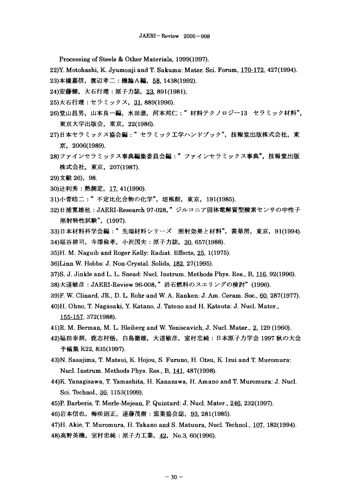Processing of Steels & Other Materials, 1999(1997).

22)Y. Motohashi, K. Jyumonji and T. Sakuma: Mater. Sci. Forum, 170-172. 427(1994).

23)本橋嘉信, 渡辺孝二: 機論A編, 58, 1438(1992).

- 24)安藤健, 大石行理: 原子力誌, 23, 891(1981).
- 25)大石行理: セラミックス, 31, 889(1996).
- 26)堂山昌男,山本良一編,水田進,河本邦仁:"材料テクノロジー13 セラミック材料", 東京大学出版会, 東京, 22(1986).
- 27)日本セラミックス協会編:"セラミック工学ハンドブック",技報堂出版株式会社,東 京, 2006(1989).
- 28)ファインセラミックス事典編集委員会編:"ファインセラミックス事典",技報堂出版 株式会社, 東京, 207(1987).
- 29)文献 26), 98.
- 30) 辻利秀: 熱測定, 17, 41(1990).

31)小菅皓二:"不定比化合物の化学",培風館,東京, 191(1985).

- 32)日浦寛雄他: JAERI-Research 97-028, "ジルコニア固体電解質型酸素センサの中性子 照射特性試験", (1997).
- 33)日本材料科学会編:"先端材料シリーズ 照射効果と材料", 裳華房, 東京, 91(1994). 34) 福谷耕司, 寺澤倫孝, 小沢国夫: 原子力誌, 30, 657(1988).
- 35)H. M. Naguib and Roger Kelly: Radiat. Effects, 25, 1(1975).
- 36)Linn W. Hobbs: J. Non-Crystal. Solids, 182, 27(1995).
- 37)S. J. Jinkle and L. L. Snead: Nucl. Instrum. Methods Phys. Res., B, 116, 92(1996).
- 38)大道敏彦 : JAERI-Review 96-008,"岩石燃料のスエリングの検討"(1996).
- 39)F. W. Clinard, JR., D. L. Rohr and W. A. Ranken: J. Am. Ceram. Soc., 60, 287(1977).
- 40)H. Ohno, T. Nagasaki, Y. Katano, J. Tateno and H. Katsuta: J. Nucl. Mater., 155-157. 372(1988).
- 41)R. M. Berman, M. L. Bleiberg and W. Yeniscavich, J. Nucl. Mater., 2, 129 (1960).
- 42)福田幸朔,鹿志村悟,白鳥徹雄,大道敏彦,室村忠純:日本原子力学会 1997 秋の大会 予稿集 K22, 835(1997).
- 43)N. Sasajima, T. Matsui, K. Hojou, S. Furuno, H. Otsu, K. Izui and T. Muromura: Nucl. Instrum. Methods Phys. Res., B, 141, 487(1998).
- 44)K Yanagisawa, T. Yamashita, H. Kanazawa, H. Amano and T. Muromura: J. Nucl. Sci. Technol., 36, 1153(1999).
- 45)P. Barberis, T. Merle-Mejean, P. Quintard: J. Nucl. Mater., 246, 232(1997).

46)岩本信也,梅咲則正,遠藤茂樹: 窯業協会誌, 93,281(1985).

47)H. Akie, T. Muromura, H. Takano and S. Matuura, Nucl. Technol., 107, 182(1994). 48) 高野英機, 室村忠純: 原子力工業, 42, No.3, 60(1996).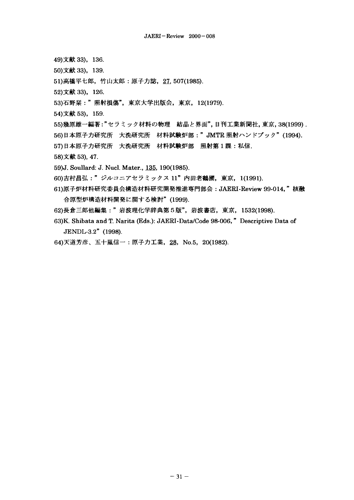- 49)文献 33), 136.
- 50)文献 33), 139.
- 51) 高橋平七郎, 竹山太郎:原子力誌, 27, 507(1985).
- 52)文献 33), 126.
- 53)石野栞:"照射損傷", 東京大学出版会, 東京, 12(1979).
- 54)文献 53), 159.
- 55)幾原雄一編著:"セラミック材料の物理 結晶と界面", 日刊工業新聞社, 東京, 38(1999).
- 56)日本原子力研究所 大洗研究所 材料試験炉部: " JMTR 照射ハンドブック" (1994).
- 57)日本原子力研究所 大洗研究所 材料試験炉部 照射第1課:私信.
- 58)文献 53), 47.
- 59)J. Soullard: J. Nucl. Mater., 135, 190(1985).
- 60)吉村昌弘:"ジルコニアセラミックス 11"内田老鶴圃, 東京, 1(1991).
- 61)原子炉材料研究委員会構造材料研究開発推進専門部会: JAERI-Review 99-014," 核融 合原型炉構造材料開発に関する検討" (1999).
- 62)長倉三郎他編集:"岩波理化学辞典第5版",岩波書店,東京, 1532(1998).
- 63)K. Shibata and T. Narita (Eds.): JAERI -Data/Code 98-006, " Descriptive Data of JENDL-3.2" (1998).
- 64)天道芳彦、五十嵐信一:原子力工業, 28, No.5, 20(1982).